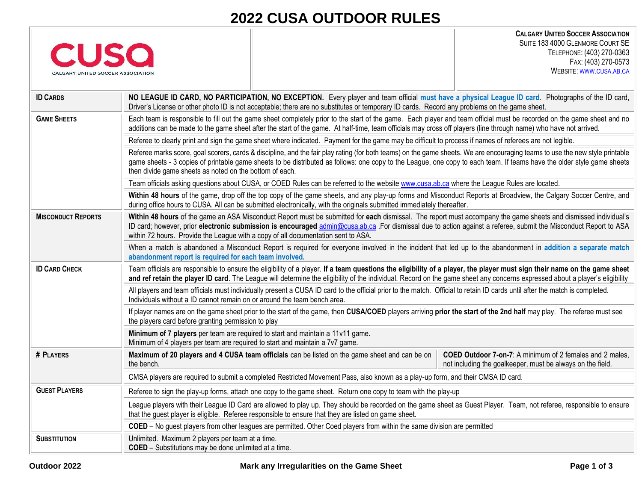# **2022 CUSA OUTDOOR RULES**

| CALGARY UNITED SOCCER ASSOCIATION |
|-----------------------------------|

**CALGARY UNITED SOCCER ASSOCIATION** SUITE 183 4000 GLENMORE COURT SE TELEPHONE: (403) 270-0363 FAX: (403) 270-0573 WEBSITE: [WWW](http://www.cusa.ab.ca/).CUSA.AB.CA

| <b>ID CARDS</b>           | NO LEAGUE ID CARD, NO PARTICIPATION, NO EXCEPTION. Every player and team official must have a physical League ID card. Photographs of the ID card,<br>Driver's License or other photo ID is not acceptable; there are no substitutes or temporary ID cards. Record any problems on the game sheet.                                                                                                                       |                                                                                                                               |  |
|---------------------------|--------------------------------------------------------------------------------------------------------------------------------------------------------------------------------------------------------------------------------------------------------------------------------------------------------------------------------------------------------------------------------------------------------------------------|-------------------------------------------------------------------------------------------------------------------------------|--|
| <b>GAME SHEETS</b>        | Each team is responsible to fill out the game sheet completely prior to the start of the game. Each player and team official must be recorded on the game sheet and no<br>additions can be made to the game sheet after the start of the game. At half-time, team officials may cross off players (line through name) who have not arrived.                                                                              |                                                                                                                               |  |
|                           | Referee to clearly print and sign the game sheet where indicated. Payment for the game may be difficult to process if names of referees are not legible.                                                                                                                                                                                                                                                                 |                                                                                                                               |  |
|                           | Referee marks score, goal scorers, cards & discipline, and the fair play rating (for both teams) on the game sheets. We are encouraging teams to use the new style printable<br>game sheets - 3 copies of printable game sheets to be distributed as follows: one copy to the League, one copy to each team. If teams have the older style game sheets<br>then divide game sheets as noted on the bottom of each.        |                                                                                                                               |  |
|                           | Team officials asking questions about CUSA, or COED Rules can be referred to the website www.cusa.ab.ca where the League Rules are located.                                                                                                                                                                                                                                                                              |                                                                                                                               |  |
|                           | Within 48 hours of the game, drop off the top copy of the game sheets, and any play-up forms and Misconduct Reports at Broadview, the Calgary Soccer Centre, and<br>during office hours to CUSA. All can be submitted electronically, with the originals submitted immediately thereafter.                                                                                                                               |                                                                                                                               |  |
| <b>MISCONDUCT REPORTS</b> | Within 48 hours of the game an ASA Misconduct Report must be submitted for each dismissal. The report must accompany the game sheets and dismissed individual's<br>ID card; however, prior electronic submission is encouraged admin@cusa.ab.ca .For dismissal due to action against a referee, submit the Misconduct Report to ASA<br>within 72 hours. Provide the League with a copy of all documentation sent to ASA. |                                                                                                                               |  |
|                           | When a match is abandoned a Misconduct Report is required for everyone involved in the incident that led up to the abandonment in addition a separate match<br>abandonment report is required for each team involved.                                                                                                                                                                                                    |                                                                                                                               |  |
| <b>ID CARD CHECK</b>      | Team officials are responsible to ensure the eligibility of a player. If a team questions the eligibility of a player, the player must sign their name on the game sheet<br>and ref retain the player ID card. The League will determine the eligibility of the individual. Record on the game sheet any concerns expressed about a player's eligibility                                                                 |                                                                                                                               |  |
|                           | All players and team officials must individually present a CUSA ID card to the official prior to the match. Official to retain ID cards until after the match is completed.<br>Individuals without a ID cannot remain on or around the team bench area.                                                                                                                                                                  |                                                                                                                               |  |
|                           | If player names are on the game sheet prior to the start of the game, then CUSA/COED players arriving prior the start of the 2nd half may play. The referee must see<br>the players card before granting permission to play                                                                                                                                                                                              |                                                                                                                               |  |
|                           | Minimum of 7 players per team are required to start and maintain a 11v11 game.<br>Minimum of 4 players per team are required to start and maintain a 7v7 game.                                                                                                                                                                                                                                                           |                                                                                                                               |  |
| # PLAYERS                 | Maximum of 20 players and 4 CUSA team officials can be listed on the game sheet and can be on<br>the bench.                                                                                                                                                                                                                                                                                                              | <b>COED Outdoor 7-on-7:</b> A minimum of 2 females and 2 males,<br>not including the goalkeeper, must be always on the field. |  |
|                           | CMSA players are required to submit a completed Restricted Movement Pass, also known as a play-up form, and their CMSA ID card.                                                                                                                                                                                                                                                                                          |                                                                                                                               |  |
| <b>GUEST PLAYERS</b>      | Referee to sign the play-up forms, attach one copy to the game sheet. Return one copy to team with the play-up                                                                                                                                                                                                                                                                                                           |                                                                                                                               |  |
|                           | League players with their League ID Card are allowed to play up. They should be recorded on the game sheet as Guest Player. Team, not referee, responsible to ensure<br>that the guest player is eligible. Referee responsible to ensure that they are listed on game sheet.                                                                                                                                             |                                                                                                                               |  |
|                           | COED – No quest players from other leagues are permitted. Other Coed players from within the same division are permitted                                                                                                                                                                                                                                                                                                 |                                                                                                                               |  |
| <b>SUBSTITUTION</b>       | Unlimited. Maximum 2 players per team at a time.<br><b>COED</b> - Substitutions may be done unlimited at a time.                                                                                                                                                                                                                                                                                                         |                                                                                                                               |  |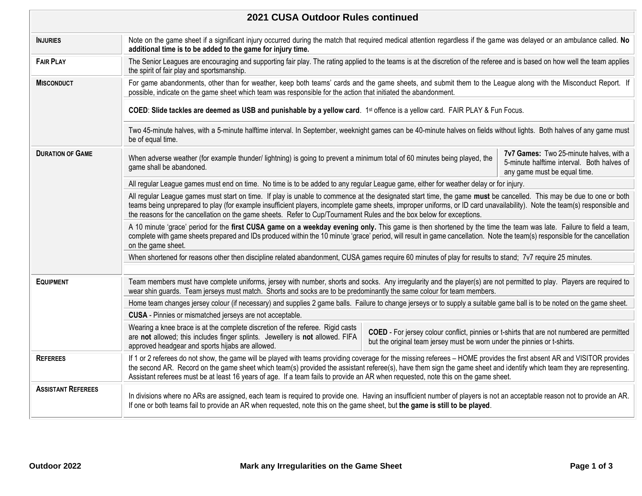| 2021 CUSA Outdoor Rules continued                                                                                                                                                |                                                                                                                                                                                                                                                                                                                                                                                                                                                                                        |  |                                                                                                                       |  |
|----------------------------------------------------------------------------------------------------------------------------------------------------------------------------------|----------------------------------------------------------------------------------------------------------------------------------------------------------------------------------------------------------------------------------------------------------------------------------------------------------------------------------------------------------------------------------------------------------------------------------------------------------------------------------------|--|-----------------------------------------------------------------------------------------------------------------------|--|
| <b>INJURIES</b>                                                                                                                                                                  | Note on the game sheet if a significant injury occurred during the match that required medical attention regardless if the game was delayed or an ambulance called. No<br>additional time is to be added to the game for injury time.                                                                                                                                                                                                                                                  |  |                                                                                                                       |  |
| <b>FAIR PLAY</b>                                                                                                                                                                 | The Senior Leagues are encouraging and supporting fair play. The rating applied to the teams is at the discretion of the referee and is based on how well the team applies<br>the spirit of fair play and sportsmanship.                                                                                                                                                                                                                                                               |  |                                                                                                                       |  |
| <b>MISCONDUCT</b>                                                                                                                                                                | For game abandonments, other than for weather, keep both teams' cards and the game sheets, and submit them to the League along with the Misconduct Report. If<br>possible, indicate on the game sheet which team was responsible for the action that initiated the abandonment.                                                                                                                                                                                                        |  |                                                                                                                       |  |
|                                                                                                                                                                                  | COED: Slide tackles are deemed as USB and punishable by a yellow card. 1st offence is a yellow card. FAIR PLAY & Fun Focus.                                                                                                                                                                                                                                                                                                                                                            |  |                                                                                                                       |  |
|                                                                                                                                                                                  | Two 45-minute halves, with a 5-minute halftime interval. In September, weeknight games can be 40-minute halves on fields without lights. Both halves of any game must<br>be of equal time.                                                                                                                                                                                                                                                                                             |  |                                                                                                                       |  |
| <b>DURATION OF GAME</b><br>When adverse weather (for example thunder/ lightning) is going to prevent a minimum total of 60 minutes being played, the<br>game shall be abandoned. |                                                                                                                                                                                                                                                                                                                                                                                                                                                                                        |  | 7v7 Games: Two 25-minute halves, with a<br>5-minute halftime interval. Both halves of<br>any game must be equal time. |  |
|                                                                                                                                                                                  | All regular League games must end on time. No time is to be added to any regular League game, either for weather delay or for injury.                                                                                                                                                                                                                                                                                                                                                  |  |                                                                                                                       |  |
|                                                                                                                                                                                  | All regular League games must start on time. If play is unable to commence at the designated start time, the game must be cancelled. This may be due to one or both<br>teams being unprepared to play (for example insufficient players, incomplete game sheets, improper uniforms, or ID card unavailability). Note the team(s) responsible and<br>the reasons for the cancellation on the game sheets. Refer to Cup/Tournament Rules and the box below for exceptions.               |  |                                                                                                                       |  |
|                                                                                                                                                                                  | A 10 minute 'grace' period for the first CUSA game on a weekday evening only. This game is then shortened by the time the team was late. Failure to field a team,<br>complete with game sheets prepared and IDs produced within the 10 minute 'grace' period, will result in game cancellation. Note the team(s) responsible for the cancellation<br>on the game sheet.                                                                                                                |  |                                                                                                                       |  |
|                                                                                                                                                                                  | When shortened for reasons other then discipline related abandonment, CUSA games require 60 minutes of play for results to stand; 7v7 require 25 minutes.                                                                                                                                                                                                                                                                                                                              |  |                                                                                                                       |  |
|                                                                                                                                                                                  |                                                                                                                                                                                                                                                                                                                                                                                                                                                                                        |  |                                                                                                                       |  |
| <b>EQUIPMENT</b>                                                                                                                                                                 | Team members must have complete uniforms, jersey with number, shorts and socks. Any irregularity and the player(s) are not permitted to play. Players are required to<br>wear shin guards. Team jerseys must match. Shorts and socks are to be predominantly the same colour for team members.                                                                                                                                                                                         |  |                                                                                                                       |  |
|                                                                                                                                                                                  | Home team changes jersey colour (if necessary) and supplies 2 game balls. Failure to change jerseys or to supply a suitable game ball is to be noted on the game sheet.                                                                                                                                                                                                                                                                                                                |  |                                                                                                                       |  |
|                                                                                                                                                                                  | CUSA - Pinnies or mismatched jerseys are not acceptable.                                                                                                                                                                                                                                                                                                                                                                                                                               |  |                                                                                                                       |  |
|                                                                                                                                                                                  | Wearing a knee brace is at the complete discretion of the referee. Rigid casts<br>COED - For jersey colour conflict, pinnies or t-shirts that are not numbered are permitted<br>are not allowed; this includes finger splints. Jewellery is not allowed. FIFA<br>but the original team jersey must be worn under the pinnies or t-shirts.<br>approved headgear and sports hijabs are allowed.                                                                                          |  |                                                                                                                       |  |
| <b>REFEREES</b>                                                                                                                                                                  | If 1 or 2 referees do not show, the game will be played with teams providing coverage for the missing referees - HOME provides the first absent AR and VISITOR provides<br>the second AR. Record on the game sheet which team(s) provided the assistant referee(s), have them sign the game sheet and identify which team they are representing.<br>Assistant referees must be at least 16 years of age. If a team fails to provide an AR when requested, note this on the game sheet. |  |                                                                                                                       |  |
| <b>ASSISTANT REFEREES</b>                                                                                                                                                        | In divisions where no ARs are assigned, each team is required to provide one. Having an insufficient number of players is not an acceptable reason not to provide an AR.<br>If one or both teams fail to provide an AR when requested, note this on the game sheet, but the game is still to be played.                                                                                                                                                                                |  |                                                                                                                       |  |